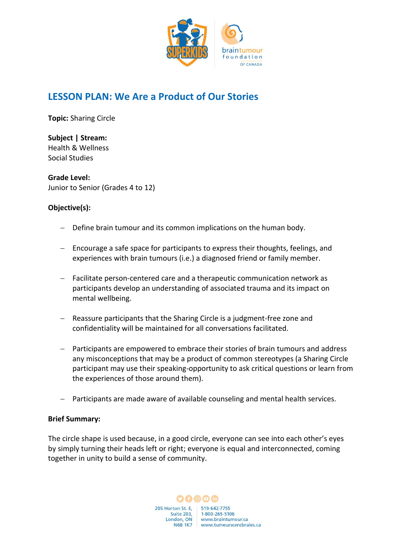

# **LESSON PLAN: We Are a Product of Our Stories**

**Topic:** Sharing Circle    

**Subject | Stream:** Health & Wellness Social Studies

**Grade Level:** Junior to Senior (Grades 4 to 12)

## **Objective(s):**

- − Define brain tumour and its common implications on the human body.
- − Encourage a safe space for participants to express their thoughts, feelings, and experiences with brain tumours (i.e.) a diagnosed friend or family member.
- − Facilitate person-centered care and a therapeutic communication network as participants develop an understanding of associated trauma and its impact on mental wellbeing.
- − Reassure participants that the Sharing Circle is a judgment-free zone and confidentiality will be maintained for all conversations facilitated.
- − Participants are empowered to embrace their stories of brain tumours and address any misconceptions that may be a product of common stereotypes (a Sharing Circle participant may use their speaking-opportunity to ask critical questions or learn from the experiences of those around them).
- Participants are made aware of available counseling and mental health services.

#### **Brief Summary:**

The circle shape is used because, in a good circle, everyone can see into each other's eyes by simply turning their heads left or right; everyone is equal and interconnected, coming together in unity to build a sense of community.

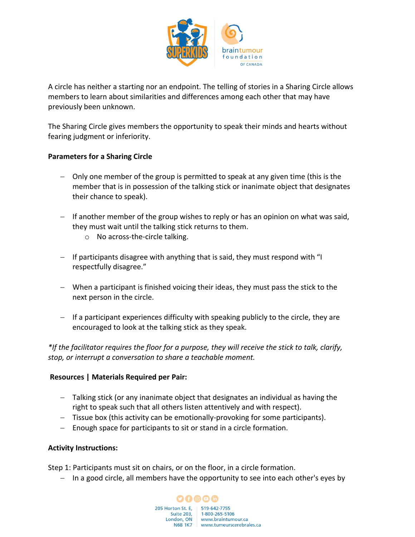

A circle has neither a starting nor an endpoint. The telling of stories in a Sharing Circle allows members to learn about similarities and differences among each other that may have previously been unknown.

The Sharing Circle gives members the opportunity to speak their minds and hearts without fearing judgment or inferiority.

#### **Parameters for a Sharing Circle**

- − Only one member of the group is permitted to speak at any given time (this is the member that is in possession of the talking stick or inanimate object that designates their chance to speak).
- − If another member of the group wishes to reply or has an opinion on what was said, they must wait until the talking stick returns to them.
	- o No across-the-circle talking.
- − If participants disagree with anything that is said, they must respond with "I respectfully disagree."
- − When a participant is finished voicing their ideas, they must pass the stick to the next person in the circle.
- − If a participant experiences difficulty with speaking publicly to the circle, they are encouraged to look at the talking stick as they speak.

*\*If the facilitator requires the floor for a purpose, they will receive the stick to talk, clarify, stop, or interrupt a conversation to share a teachable moment.*

#### **Resources | Materials Required per Pair:**

- − Talking stick (or any inanimate object that designates an individual as having the right to speak such that all others listen attentively and with respect).
- − Tissue box (this activity can be emotionally-provoking for some participants).
- − Enough space for participants to sit or stand in a circle formation.

#### **Activity Instructions:**

Step 1: Participants must sit on chairs, or on the floor, in a circle formation.

− In a good circle, all members have the opportunity to see into each other's eyes by

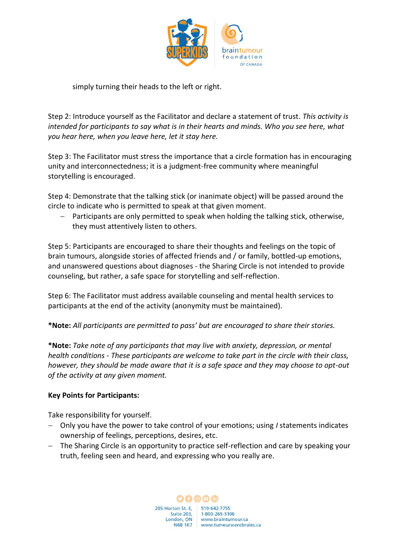

## simply turning their heads to the left or right.

Step 2: Introduce yourself as the Facilitator and declare a statement of trust. *This activity is intended for participants to say what is in their hearts and minds. Who you see here, what you hear here, when you leave here, let it stay here.*

Step 3: The Facilitator must stress the importance that a circle formation has in encouraging unity and interconnectedness; it is a judgment-free community where meaningful storytelling is encouraged.

Step 4: Demonstrate that the talking stick (or inanimate object) will be passed around the circle to indicate who is permitted to speak at that given moment.

− Participants are only permitted to speak when holding the talking stick, otherwise, they must attentively listen to others.

Step 5: Participants are encouraged to share their thoughts and feelings on the topic of brain tumours, alongside stories of affected friends and / or family, bottled-up emotions, and unanswered questions about diagnoses - the Sharing Circle is not intended to provide counseling, but rather, a safe space for storytelling and self-reflection.

Step 6: The Facilitator must address available counseling and mental health services to participants at the end of the activity (anonymity must be maintained).

**\*Note:** *All participants are permitted to pass' but are encouraged to share their stories.*

**\*Note:** *Take note of any participants that may live with anxiety, depression, or mental health conditions - These participants are welcome to take part in the circle with their class, however, they should be made aware that it is a safe space and they may choose to opt-out of the activity at any given moment.* 

#### **Key Points for Participants:**

Take responsibility for yourself.

- − Only you have the power to take control of your emotions; using *I* statements indicates ownership of feelings, perceptions, desires, etc.
- − The Sharing Circle is an opportunity to practice self-reflection and care by speaking your truth, feeling seen and heard, and expressing who you really are.